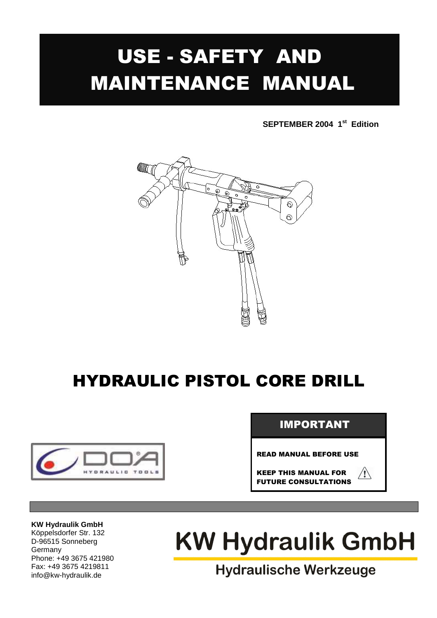# USE - SAFETY AND MAINTENANCE MANUAL

**SEPTEMBER 2004 1st Edition** 



# HYDRAULIC PISTOL CORE DRILL



### IMPORTANT

READ MANUAL BEFORE USE

KEEP THIS MANUAL FOR FUTURE CONSULTATIONS

 $\sqrt{2}$ 

#### **KW Hydraulik GmbH**

Köppelsdorfer Str. 132 D-96515 Sonneberg Germany Phone: +49 3675 421980 Fax: +49 3675 4219811 info@kw-hydraulik.de

# **KW Hydraulik GmbH**

**Hydraulische Werkzeuge**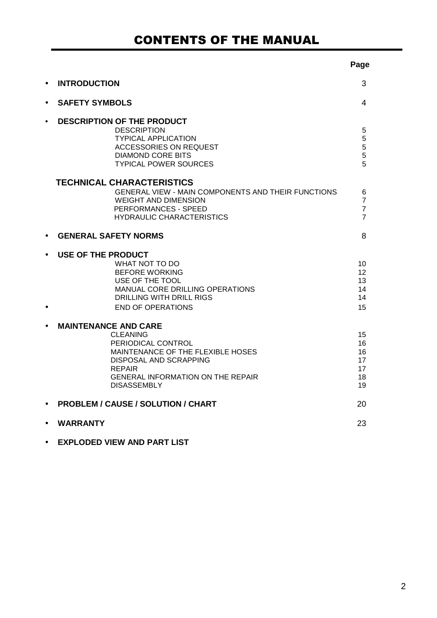# CONTENTS OF THE MANUAL

|                                                                                                                                                                                                                               | Page                                                    |
|-------------------------------------------------------------------------------------------------------------------------------------------------------------------------------------------------------------------------------|---------------------------------------------------------|
| <b>INTRODUCTION</b>                                                                                                                                                                                                           | 3                                                       |
| <b>SAFETY SYMBOLS</b><br>$\bullet$                                                                                                                                                                                            | 4                                                       |
| <b>DESCRIPTION OF THE PRODUCT</b><br>$\bullet$<br><b>DESCRIPTION</b><br><b>TYPICAL APPLICATION</b><br><b>ACCESSORIES ON REQUEST</b><br><b>DIAMOND CORE BITS</b><br><b>TYPICAL POWER SOURCES</b>                               | 5<br>$\mathbf 5$<br>$\frac{5}{5}$<br>5                  |
| <b>TECHNICAL CHARACTERISTICS</b><br>GENERAL VIEW - MAIN COMPONENTS AND THEIR FUNCTIONS<br><b>WEIGHT AND DIMENSION</b><br>PERFORMANCES - SPEED<br><b>HYDRAULIC CHARACTERISTICS</b>                                             | 6<br>$\overline{7}$<br>$\overline{7}$<br>$\overline{7}$ |
| <b>GENERAL SAFETY NORMS</b><br>$\bullet$                                                                                                                                                                                      | 8                                                       |
| USE OF THE PRODUCT<br>WHAT NOT TO DO<br><b>BEFORE WORKING</b><br>USE OF THE TOOL<br>MANUAL CORE DRILLING OPERATIONS<br>DRILLING WITH DRILL RIGS<br><b>END OF OPERATIONS</b>                                                   | 10<br>12<br>13<br>14<br>14<br>15                        |
| <b>MAINTENANCE AND CARE</b><br><b>CLEANING</b><br>PERIODICAL CONTROL<br>MAINTENANCE OF THE FLEXIBLE HOSES<br><b>DISPOSAL AND SCRAPPING</b><br><b>REPAIR</b><br><b>GENERAL INFORMATION ON THE REPAIR</b><br><b>DISASSEMBLY</b> | 15<br>16<br>16<br>17<br>17<br>18<br>19                  |
| <b>PROBLEM / CAUSE / SOLUTION / CHART</b>                                                                                                                                                                                     | 20                                                      |
| <b>WARRANTY</b>                                                                                                                                                                                                               | 23                                                      |
| <b>EXPLODED VIEW AND PART LIST</b>                                                                                                                                                                                            |                                                         |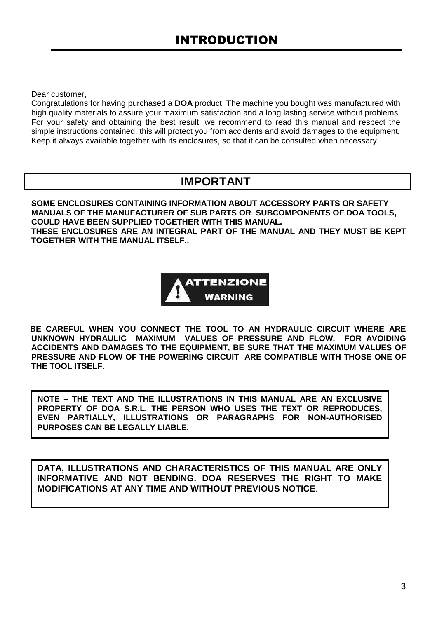Dear customer,

Congratulations for having purchased a **DOA** product. The machine you bought was manufactured with high quality materials to assure your maximum satisfaction and a long lasting service without problems. For your safety and obtaining the best result, we recommend to read this manual and respect the simple instructions contained, this will protect you from accidents and avoid damages to the equipment**.**  Keep it always available together with its enclosures, so that it can be consulted when necessary.

### **IMPORTANT**

**SOME ENCLOSURES CONTAINING INFORMATION ABOUT ACCESSORY PARTS OR SAFETY MANUALS OF THE MANUFACTURER OF SUB PARTS OR SUBCOMPONENTS OF DOA TOOLS, COULD HAVE BEEN SUPPLIED TOGETHER WITH THIS MANUAL. THESE ENCLOSURES ARE AN INTEGRAL PART OF THE MANUAL AND THEY MUST BE KEPT TOGETHER WITH THE MANUAL ITSELF..** 



 **BE CAREFUL WHEN YOU CONNECT THE TOOL TO AN HYDRAULIC CIRCUIT WHERE ARE UNKNOWN HYDRAULIC MAXIMUM VALUES OF PRESSURE AND FLOW. FOR AVOIDING ACCIDENTS AND DAMAGES TO THE EQUIPMENT, BE SURE THAT THE MAXIMUM VALUES OF PRESSURE AND FLOW OF THE POWERING CIRCUIT ARE COMPATIBLE WITH THOSE ONE OF THE TOOL ITSELF.** 

**NOTE – THE TEXT AND THE ILLUSTRATIONS IN THIS MANUAL ARE AN EXCLUSIVE PROPERTY OF DOA S.R.L. THE PERSON WHO USES THE TEXT OR REPRODUCES, EVEN PARTIALLY, ILLUSTRATIONS OR PARAGRAPHS FOR NON-AUTHORISED PURPOSES CAN BE LEGALLY LIABLE.** 

**DATA, ILLUSTRATIONS AND CHARACTERISTICS OF THIS MANUAL ARE ONLY INFORMATIVE AND NOT BENDING. DOA RESERVES THE RIGHT TO MAKE MODIFICATIONS AT ANY TIME AND WITHOUT PREVIOUS NOTICE**.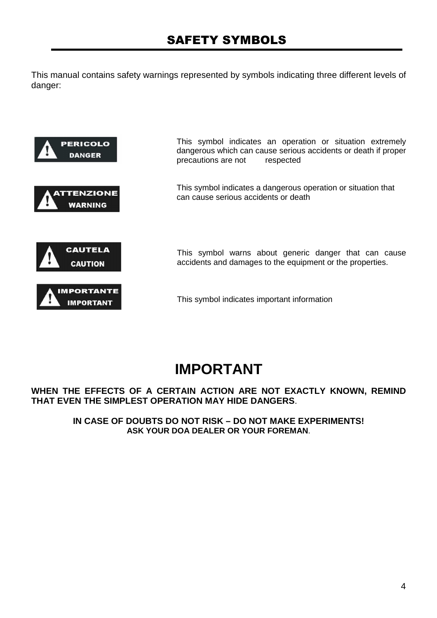This manual contains safety warnings represented by symbols indicating three different levels of danger:



# **IMPORTANT**

#### **WHEN THE EFFECTS OF A CERTAIN ACTION ARE NOT EXACTLY KNOWN, REMIND THAT EVEN THE SIMPLEST OPERATION MAY HIDE DANGERS**.

**IN CASE OF DOUBTS DO NOT RISK – DO NOT MAKE EXPERIMENTS! ASK YOUR DOA DEALER OR YOUR FOREMAN**.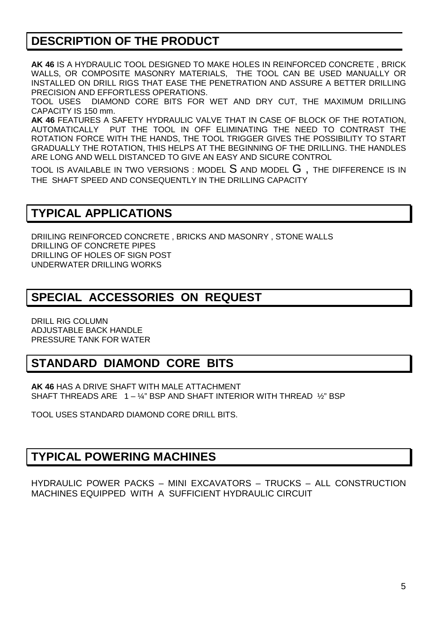### **DESCRIPTION OF THE PRODUCT**

**AK 46** IS A HYDRAULIC TOOL DESIGNED TO MAKE HOLES IN REINFORCED CONCRETE , BRICK WALLS, OR COMPOSITE MASONRY MATERIALS, THE TOOL CAN BE USED MANUALLY OR INSTALLED ON DRILL RIGS THAT EASE THE PENETRATION AND ASSURE A BETTER DRILLING PRECISION AND EFFORTLESS OPERATIONS.

TOOL USES DIAMOND CORE BITS FOR WET AND DRY CUT, THE MAXIMUM DRILLING CAPACITY IS 150 mm.

**AK 46** FEATURES A SAFETY HYDRAULIC VALVE THAT IN CASE OF BLOCK OF THE ROTATION, AUTOMATICALLY PUT THE TOOL IN OFF ELIMINATING THE NEED TO CONTRAST THE ROTATION FORCE WITH THE HANDS, THE TOOL TRIGGER GIVES THE POSSIBILITY TO START GRADUALLY THE ROTATION, THIS HELPS AT THE BEGINNING OF THE DRILLING. THE HANDLES ARE LONG AND WELL DISTANCED TO GIVE AN EASY AND SICURE CONTROL

TOOL IS AVAILABLE IN TWO VERSIONS : MODEL  $S$  and model  $G$  , the difference is in THE SHAFT SPEED AND CONSEQUENTLY IN THE DRILLING CAPACITY

### **TYPICAL APPLICATIONS**

DRIILING REINFORCED CONCRETE , BRICKS AND MASONRY , STONE WALLS DRILLING OF CONCRETE PIPES DRILLING OF HOLES OF SIGN POST UNDERWATER DRILLING WORKS

### **SPECIAL ACCESSORIES ON REQUEST**

DRILL RIG COLUMN ADJUSTABLE BACK HANDLE PRESSURE TANK FOR WATER

### **STANDARD DIAMOND CORE BITS**

**AK 46** HAS A DRIVE SHAFT WITH MALE ATTACHMENT SHAFT THREADS ARE  $1 - \frac{1}{4}$ " BSP AND SHAFT INTERIOR WITH THREAD  $\frac{1}{2}$ " BSP

TOOL USES STANDARD DIAMOND CORE DRILL BITS.

### **TYPICAL POWERING MACHINES**

HYDRAULIC POWER PACKS – MINI EXCAVATORS – TRUCKS – ALL CONSTRUCTION MACHINES EQUIPPED WITH A SUFFICIENT HYDRAULIC CIRCUIT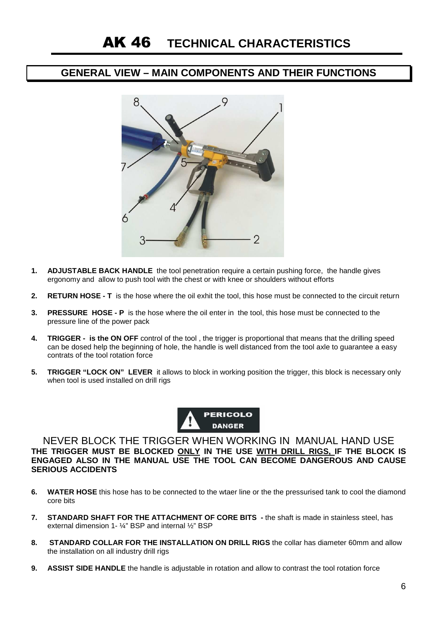#### **GENERAL VIEW – MAIN COMPONENTS AND THEIR FUNCTIONS**



- **1. ADJUSTABLE BACK HANDLE** the tool penetration require a certain pushing force, the handle gives ergonomy and allow to push tool with the chest or with knee or shoulders without efforts
- **2. RETURN HOSE T** is the hose where the oil exhit the tool, this hose must be connected to the circuit return
- **3. PRESSURE HOSE P** is the hose where the oil enter in the tool, this hose must be connected to the pressure line of the power pack
- **4. TRIGGER is the ON OFF** control of the tool , the trigger is proportional that means that the drilling speed can be dosed help the beginning of hole, the handle is well distanced from the tool axle to guarantee a easy contrats of the tool rotation force
- **5. TRIGGER "LOCK ON" LEVER** it allows to block in working position the trigger, this block is necessary only when tool is used installed on drill rigs



NEVER BLOCK THE TRIGGER WHEN WORKING IN MANUAL HAND USE **THE TRIGGER MUST BE BLOCKED ONLY IN THE USE WITH DRILL RIGS, IF THE BLOCK IS ENGAGED ALSO IN THE MANUAL USE THE TOOL CAN BECOME DANGEROUS AND CAUSE SERIOUS ACCIDENTS** 

- **6. WATER HOSE** this hose has to be connected to the wtaer line or the the pressurised tank to cool the diamond core bits
- **7. STANDARD SHAFT FOR THE ATTACHMENT OF CORE BITS** the shaft is made in stainless steel, has external dimension 1- ¼" BSP and internal ½" BSP
- **8. STANDARD COLLAR FOR THE INSTALLATION ON DRILL RIGS** the collar has diameter 60mm and allow the installation on all industry drill rigs
- **9. ASSIST SIDE HANDLE** the handle is adjustable in rotation and allow to contrast the tool rotation force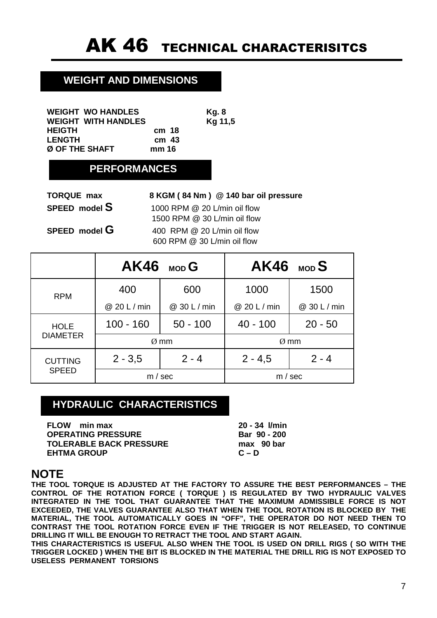### **WEIGHT AND DIMENSIONS**

| <b>WEIGHT WO HANDLES</b>   |                  | Kg. 8   |
|----------------------------|------------------|---------|
| <b>WEIGHT WITH HANDLES</b> |                  | Kg 11,5 |
| HEIGTH                     | cm 18            |         |
| <b>LENGTH</b>              | cm <sub>43</sub> |         |
| Ø OF THE SHAFT             | mm 16            |         |

### **PERFORMANCES**

| <b>TORQUE max</b> | 8 KGM (84 Nm) @ 140 bar oil pressure                         |
|-------------------|--------------------------------------------------------------|
| SPEED model S     | 1000 RPM @ 20 L/min oil flow<br>1500 RPM @ 30 L/min oil flow |
| SPEED model G     | 400 RPM @ 20 L/min oil flow                                  |
|                   | 600 RPM @ 30 L/min oil flow                                  |

|                 |              | $AK46$ MOD G |              | $AK46$ MOD S |
|-----------------|--------------|--------------|--------------|--------------|
| <b>RPM</b>      | 400          | 600          | 1000         | 1500         |
|                 | @ 20 L / min | @ 30 L / min | @ 20 L / min | @ 30 L / min |
| <b>HOLE</b>     | $100 - 160$  | $50 - 100$   | $40 - 100$   | $20 - 50$    |
| <b>DIAMETER</b> | $Ø$ mm       |              |              | $Ø$ mm       |
| <b>CUTTING</b>  | $2 - 3,5$    | $2 - 4$      | $2 - 4,5$    | $2 - 4$      |
| <b>SPEED</b>    | m / sec      |              |              | m / sec      |

### **HYDRAULIC CHARACTERISTICS**

**FLOW min max 20 - 34 l/min OPERATING PRESSURE Bar 90 - 200 TOLERABLE BACK PRESSURE** max 90 bar **EHTMA GROUP C – D** 

### **NOTE**

**THE TOOL TORQUE IS ADJUSTED AT THE FACTORY TO ASSURE THE BEST PERFORMANCES – THE CONTROL OF THE ROTATION FORCE ( TORQUE ) IS REGULATED BY TWO HYDRAULIC VALVES INTEGRATED IN THE TOOL THAT GUARANTEE THAT THE MAXIMUM ADMISSIBLE FORCE IS NOT EXCEEDED, THE VALVES GUARANTEE ALSO THAT WHEN THE TOOL ROTATION IS BLOCKED BY THE MATERIAL, THE TOOL AUTOMATICALLY GOES IN "OFF", THE OPERATOR DO NOT NEED THEN TO CONTRAST THE TOOL ROTATION FORCE EVEN IF THE TRIGGER IS NOT RELEASED, TO CONTINUE DRILLING IT WILL BE ENOUGH TO RETRACT THE TOOL AND START AGAIN.** 

**THIS CHARACTERISTICS IS USEFUL ALSO WHEN THE TOOL IS USED ON DRILL RIGS ( SO WITH THE TRIGGER LOCKED ) WHEN THE BIT IS BLOCKED IN THE MATERIAL THE DRILL RIG IS NOT EXPOSED TO USELESS PERMANENT TORSIONS**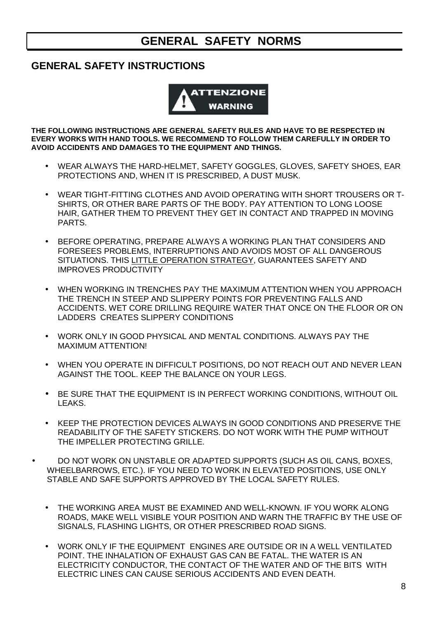### **GENERAL SAFETY NORMS**

### **GENERAL SAFETY INSTRUCTIONS**



**THE FOLLOWING INSTRUCTIONS ARE GENERAL SAFETY RULES AND HAVE TO BE RESPECTED IN EVERY WORKS WITH HAND TOOLS. WE RECOMMEND TO FOLLOW THEM CAREFULLY IN ORDER TO AVOID ACCIDENTS AND DAMAGES TO THE EQUIPMENT AND THINGS.** 

- WEAR ALWAYS THE HARD-HELMET, SAFETY GOGGLES, GLOVES, SAFETY SHOES, EAR PROTECTIONS AND, WHEN IT IS PRESCRIBED, A DUST MUSK.
- WEAR TIGHT-FITTING CLOTHES AND AVOID OPERATING WITH SHORT TROUSERS OR T-SHIRTS, OR OTHER BARE PARTS OF THE BODY. PAY ATTENTION TO LONG LOOSE HAIR, GATHER THEM TO PREVENT THEY GET IN CONTACT AND TRAPPED IN MOVING PARTS.
- BEFORE OPERATING, PREPARE ALWAYS A WORKING PLAN THAT CONSIDERS AND FORESEES PROBLEMS, INTERRUPTIONS AND AVOIDS MOST OF ALL DANGEROUS SITUATIONS. THIS LITTLE OPERATION STRATEGY, GUARANTEES SAFETY AND IMPROVES PRODUCTIVITY
- WHEN WORKING IN TRENCHES PAY THE MAXIMUM ATTENTION WHEN YOU APPROACH THE TRENCH IN STEEP AND SLIPPERY POINTS FOR PREVENTING FALLS AND ACCIDENTS. WET CORE DRILLING REQUIRE WATER THAT ONCE ON THE FLOOR OR ON LADDERS CREATES SLIPPERY CONDITIONS
- WORK ONLY IN GOOD PHYSICAL AND MENTAL CONDITIONS. ALWAYS PAY THE MAXIMUM ATTENTION!
- WHEN YOU OPERATE IN DIFFICULT POSITIONS, DO NOT REACH OUT AND NEVER LEAN AGAINST THE TOOL. KEEP THE BALANCE ON YOUR LEGS.
- BE SURE THAT THE EQUIPMENT IS IN PERFECT WORKING CONDITIONS, WITHOUT OIL LEAKS.
- KEEP THE PROTECTION DEVICES ALWAYS IN GOOD CONDITIONS AND PRESERVE THE READABILITY OF THE SAFETY STICKERS. DO NOT WORK WITH THE PUMP WITHOUT THE IMPELLER PROTECTING GRILLE.
- DO NOT WORK ON UNSTABLE OR ADAPTED SUPPORTS (SUCH AS OIL CANS, BOXES, WHEELBARROWS, ETC.). IF YOU NEED TO WORK IN ELEVATED POSITIONS, USE ONLY STABLE AND SAFE SUPPORTS APPROVED BY THE LOCAL SAFETY RULES.
	- THE WORKING AREA MUST BE EXAMINED AND WELL-KNOWN. IF YOU WORK ALONG ROADS, MAKE WELL VISIBLE YOUR POSITION AND WARN THE TRAFFIC BY THE USE OF SIGNALS, FLASHING LIGHTS, OR OTHER PRESCRIBED ROAD SIGNS.
	- WORK ONLY IF THE EQUIPMENT ENGINES ARE OUTSIDE OR IN A WELL VENTILATED POINT. THE INHALATION OF EXHAUST GAS CAN BE FATAL. THE WATER IS AN ELECTRICITY CONDUCTOR, THE CONTACT OF THE WATER AND OF THE BITS WITH ELECTRIC LINES CAN CAUSE SERIOUS ACCIDENTS AND EVEN DEATH.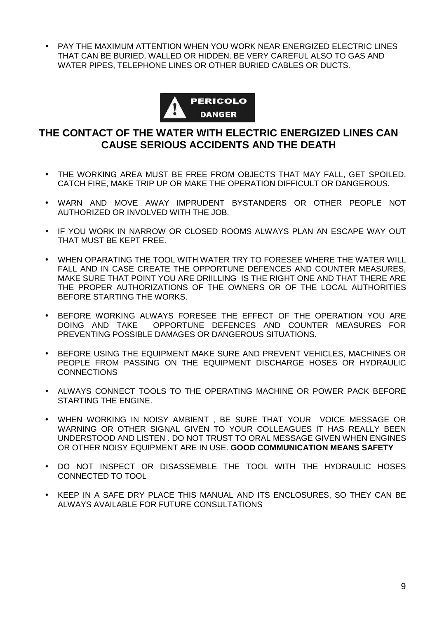• PAY THE MAXIMUM ATTENTION WHEN YOU WORK NEAR ENERGIZED ELECTRIC LINES THAT CAN BE BURIED, WALLED OR HIDDEN. BE VERY CAREFUL ALSO TO GAS AND WATER PIPES, TELEPHONE LINES OR OTHER BURIED CABLES OR DUCTS.



### **THE CONTACT OF THE WATER WITH ELECTRIC ENERGIZED LINES CAN CAUSE SERIOUS ACCIDENTS AND THE DEATH**

- THE WORKING AREA MUST BE FREE FROM OBJECTS THAT MAY FALL, GET SPOILED, CATCH FIRE, MAKE TRIP UP OR MAKE THE OPERATION DIFFICULT OR DANGEROUS.
- WARN AND MOVE AWAY IMPRUDENT BYSTANDERS OR OTHER PEOPLE NOT AUTHORIZED OR INVOLVED WITH THE JOB.
- IF YOU WORK IN NARROW OR CLOSED ROOMS ALWAYS PLAN AN ESCAPE WAY OUT THAT MUST BE KEPT FREE.
- WHEN OPARATING THE TOOL WITH WATER TRY TO FORESEE WHERE THE WATER WILL FALL AND IN CASE CREATE THE OPPORTUNE DEFENCES AND COUNTER MEASURES, MAKE SURE THAT POINT YOU ARE DRIILLING IS THE RIGHT ONE AND THAT THERE ARE THE PROPER AUTHORIZATIONS OF THE OWNERS OR OF THE LOCAL AUTHORITIES BEFORE STARTING THE WORKS.
- BEFORE WORKING ALWAYS FORESEE THE EFFECT OF THE OPERATION YOU ARE DOING AND TAKE OPPORTUNE DEFENCES AND COUNTER MEASURES FOR PREVENTING POSSIBLE DAMAGES OR DANGEROUS SITUATIONS.
- BEFORE USING THE EQUIPMENT MAKE SURE AND PREVENT VEHICLES, MACHINES OR PEOPLE FROM PASSING ON THE EQUIPMENT DISCHARGE HOSES OR HYDRAULIC **CONNECTIONS**
- ALWAYS CONNECT TOOLS TO THE OPERATING MACHINE OR POWER PACK BEFORE STARTING THE ENGINE.
- WHEN WORKING IN NOISY AMBIENT , BE SURE THAT YOUR VOICE MESSAGE OR WARNING OR OTHER SIGNAL GIVEN TO YOUR COLLEAGUES IT HAS REALLY BEEN UNDERSTOOD AND LISTEN . DO NOT TRUST TO ORAL MESSAGE GIVEN WHEN ENGINES OR OTHER NOISY EQUIPMENT ARE IN USE. **GOOD COMMUNICATION MEANS SAFETY**
- DO NOT INSPECT OR DISASSEMBLE THE TOOL WITH THE HYDRAULIC HOSES CONNECTED TO TOOL
- KEEP IN A SAFE DRY PLACE THIS MANUAL AND ITS ENCLOSURES, SO THEY CAN BE ALWAYS AVAILABLE FOR FUTURE CONSULTATIONS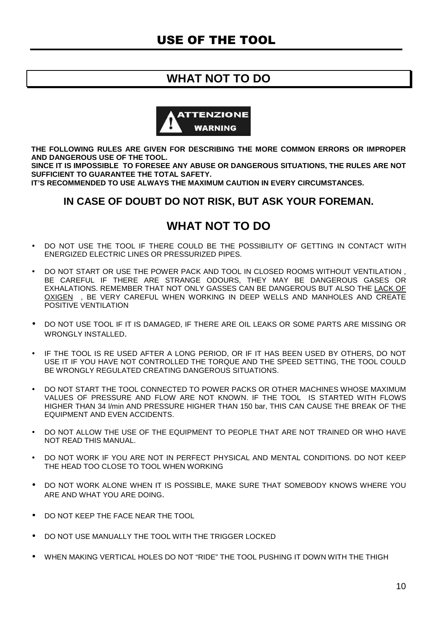### **WHAT NOT TO DO**



**THE FOLLOWING RULES ARE GIVEN FOR DESCRIBING THE MORE COMMON ERRORS OR IMPROPER AND DANGEROUS USE OF THE TOOL.** 

**SINCE IT IS IMPOSSIBLE TO FORESEE ANY ABUSE OR DANGEROUS SITUATIONS, THE RULES ARE NOT SUFFICIENT TO GUARANTEE THE TOTAL SAFETY.** 

**IT'S RECOMMENDED TO USE ALWAYS THE MAXIMUM CAUTION IN EVERY CIRCUMSTANCES.** 

#### **IN CASE OF DOUBT DO NOT RISK, BUT ASK YOUR FOREMAN.**

### **WHAT NOT TO DO**

- DO NOT USE THE TOOL IF THERE COULD BE THE POSSIBILITY OF GETTING IN CONTACT WITH ENERGIZED ELECTRIC LINES OR PRESSURIZED PIPES.
- DO NOT START OR USE THE POWER PACK AND TOOL IN CLOSED ROOMS WITHOUT VENTILATION , BE CAREFUL IF THERE ARE STRANGE ODOURS, THEY MAY BE DANGEROUS GASES OR EXHALATIONS. REMEMBER THAT NOT ONLY GASSES CAN BE DANGEROUS BUT ALSO THE LACK OF OXIGEN , BE VERY CAREFUL WHEN WORKING IN DEEP WELLS AND MANHOLES AND CREATE POSITIVE VENTILATION
- DO NOT USE TOOL IF IT IS DAMAGED, IF THERE ARE OIL LEAKS OR SOME PARTS ARE MISSING OR WRONGLY INSTALLED.
- IF THE TOOL IS RE USED AFTER A LONG PERIOD, OR IF IT HAS BEEN USED BY OTHERS, DO NOT USE IT IF YOU HAVE NOT CONTROLLED THE TORQUE AND THE SPEED SETTING, THE TOOL COULD BE WRONGLY REGULATED CREATING DANGEROUS SITUATIONS.
- DO NOT START THE TOOL CONNECTED TO POWER PACKS OR OTHER MACHINES WHOSE MAXIMUM VALUES OF PRESSURE AND FLOW ARE NOT KNOWN. IF THE TOOL IS STARTED WITH FLOWS HIGHER THAN 34 l/min AND PRESSURE HIGHER THAN 150 bar, THIS CAN CAUSE THE BREAK OF THE EQUIPMENT AND EVEN ACCIDENTS.
- DO NOT ALLOW THE USE OF THE EQUIPMENT TO PEOPLE THAT ARE NOT TRAINED OR WHO HAVE NOT READ THIS MANUAL.
- DO NOT WORK IF YOU ARE NOT IN PERFECT PHYSICAL AND MENTAL CONDITIONS. DO NOT KEEP THE HEAD TOO CLOSE TO TOOL WHEN WORKING
- DO NOT WORK ALONE WHEN IT IS POSSIBLE, MAKE SURE THAT SOMEBODY KNOWS WHERE YOU ARE AND WHAT YOU ARE DOING.
- DO NOT KEEP THE FACE NEAR THE TOOL
- DO NOT USE MANUALLY THE TOOL WITH THE TRIGGER LOCKED
- WHEN MAKING VERTICAL HOLES DO NOT "RIDE" THE TOOL PUSHING IT DOWN WITH THE THIGH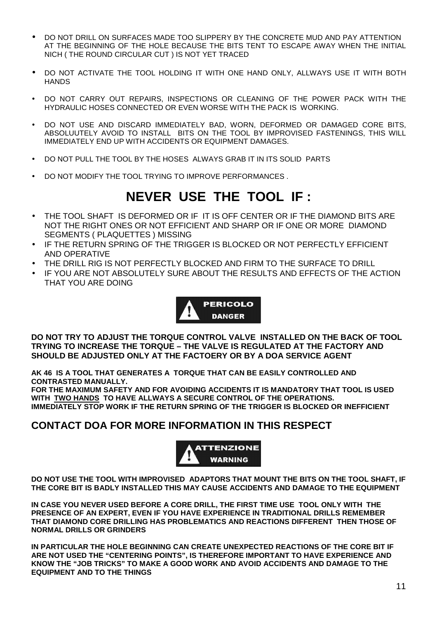- DO NOT DRILL ON SURFACES MADE TOO SLIPPERY BY THE CONCRETE MUD AND PAY ATTENTION AT THE BEGINNING OF THE HOLE BECAUSE THE BITS TENT TO ESCAPE AWAY WHEN THE INITIAL NICH ( THE ROUND CIRCULAR CUT ) IS NOT YET TRACED
- DO NOT ACTIVATE THE TOOL HOLDING IT WITH ONE HAND ONLY, ALLWAYS USE IT WITH BOTH **HANDS**
- DO NOT CARRY OUT REPAIRS, INSPECTIONS OR CLEANING OF THE POWER PACK WITH THE HYDRAULIC HOSES CONNECTED OR EVEN WORSE WITH THE PACK IS WORKING.
- DO NOT USE AND DISCARD IMMEDIATELY BAD, WORN, DEFORMED OR DAMAGED CORE BITS, ABSOLUUTELY AVOID TO INSTALL BITS ON THE TOOL BY IMPROVISED FASTENINGS, THIS WILL IMMEDIATELY END UP WITH ACCIDENTS OR EQUIPMENT DAMAGES.
- DO NOT PULL THE TOOL BY THE HOSES ALWAYS GRAB IT IN ITS SOLID PARTS
- DO NOT MODIFY THE TOOL TRYING TO IMPROVE PERFORMANCES .

# **NEVER USE THE TOOL IF :**

- THE TOOL SHAFT IS DEFORMED OR IF IT IS OFF CENTER OR IF THE DIAMOND BITS ARE NOT THE RIGHT ONES OR NOT EFFICIENT AND SHARP OR IF ONE OR MORE DIAMOND SEGMENTS ( PLAQUETTES ) MISSING
- IF THE RETURN SPRING OF THE TRIGGER IS BLOCKED OR NOT PERFECTLY EFFICIENT AND OPERATIVE
- THE DRILL RIG IS NOT PERFECTLY BLOCKED AND FIRM TO THE SURFACE TO DRILL
- IF YOU ARE NOT ABSOLUTELY SURE ABOUT THE RESULTS AND EFFECTS OF THE ACTION THAT YOU ARE DOING



**DO NOT TRY TO ADJUST THE TORQUE CONTROL VALVE INSTALLED ON THE BACK OF TOOL TRYING TO INCREASE THE TORQUE – THE VALVE IS REGULATED AT THE FACTORY AND SHOULD BE ADJUSTED ONLY AT THE FACTOERY OR BY A DOA SERVICE AGENT** 

**AK 46 IS A TOOL THAT GENERATES A TORQUE THAT CAN BE EASILY CONTROLLED AND CONTRASTED MANUALLY.** 

**FOR THE MAXIMUM SAFETY AND FOR AVOIDING ACCIDENTS IT IS MANDATORY THAT TOOL IS USED WITH TWO HANDS TO HAVE ALLWAYS A SECURE CONTROL OF THE OPERATIONS. IMMEDIATELY STOP WORK IF THE RETURN SPRING OF THE TRIGGER IS BLOCKED OR INEFFICIENT** 

#### **CONTACT DOA FOR MORE INFORMATION IN THIS RESPECT**



**DO NOT USE THE TOOL WITH IMPROVISED ADAPTORS THAT MOUNT THE BITS ON THE TOOL SHAFT, IF THE CORE BIT IS BADLY INSTALLED THIS MAY CAUSE ACCIDENTS AND DAMAGE TO THE EQUIPMENT** 

**IN CASE YOU NEVER USED BEFORE A CORE DRILL, THE FIRST TIME USE TOOL ONLY WITH THE PRESENCE OF AN EXPERT, EVEN IF YOU HAVE EXPERIENCE IN TRADITIONAL DRILLS REMEMBER THAT DIAMOND CORE DRILLING HAS PROBLEMATICS AND REACTIONS DIFFERENT THEN THOSE OF NORMAL DRILLS OR GRINDERS** 

**IN PARTICULAR THE HOLE BEGINNING CAN CREATE UNEXPECTED REACTIONS OF THE CORE BIT IF ARE NOT USED THE "CENTERING POINTS", IS THEREFORE IMPORTANT TO HAVE EXPERIENCE AND KNOW THE "JOB TRICKS" TO MAKE A GOOD WORK AND AVOID ACCIDENTS AND DAMAGE TO THE EQUIPMENT AND TO THE THINGS**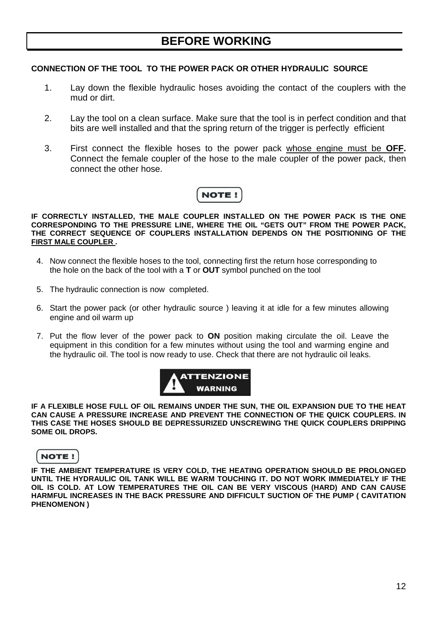#### **CONNECTION OF THE TOOL TO THE POWER PACK OR OTHER HYDRAULIC SOURCE**

- 1. Lay down the flexible hydraulic hoses avoiding the contact of the couplers with the mud or dirt.
- 2. Lay the tool on a clean surface. Make sure that the tool is in perfect condition and that bits are well installed and that the spring return of the trigger is perfectly efficient
- 3. First connect the flexible hoses to the power pack whose engine must be **OFF.** Connect the female coupler of the hose to the male coupler of the power pack, then connect the other hose.



**IF CORRECTLY INSTALLED, THE MALE COUPLER INSTALLED ON THE POWER PACK IS THE ONE CORRESPONDING TO THE PRESSURE LINE, WHERE THE OIL "GETS OUT" FROM THE POWER PACK, THE CORRECT SEQUENCE OF COUPLERS INSTALLATION DEPENDS ON THE POSITIONING OF THE FIRST MALE COUPLER .** 

- 4. Now connect the flexible hoses to the tool, connecting first the return hose corresponding to the hole on the back of the tool with a **T** or **OUT** symbol punched on the tool
- 5. The hydraulic connection is now completed.
- 6. Start the power pack (or other hydraulic source ) leaving it at idle for a few minutes allowing engine and oil warm up
- 7. Put the flow lever of the power pack to **ON** position making circulate the oil. Leave the equipment in this condition for a few minutes without using the tool and warming engine and the hydraulic oil. The tool is now ready to use. Check that there are not hydraulic oil leaks.



**IF A FLEXIBLE HOSE FULL OF OIL REMAINS UNDER THE SUN, THE OIL EXPANSION DUE TO THE HEAT CAN CAUSE A PRESSURE INCREASE AND PREVENT THE CONNECTION OF THE QUICK COUPLERS. IN THIS CASE THE HOSES SHOULD BE DEPRESSURIZED UNSCREWING THE QUICK COUPLERS DRIPPING SOME OIL DROPS.** 

#### **NOTE!**

**IF THE AMBIENT TEMPERATURE IS VERY COLD, THE HEATING OPERATION SHOULD BE PROLONGED UNTIL THE HYDRAULIC OIL TANK WILL BE WARM TOUCHING IT. DO NOT WORK IMMEDIATELY IF THE OIL IS COLD. AT LOW TEMPERATURES THE OIL CAN BE VERY VISCOUS (HARD) AND CAN CAUSE HARMFUL INCREASES IN THE BACK PRESSURE AND DIFFICULT SUCTION OF THE PUMP ( CAVITATION PHENOMENON )**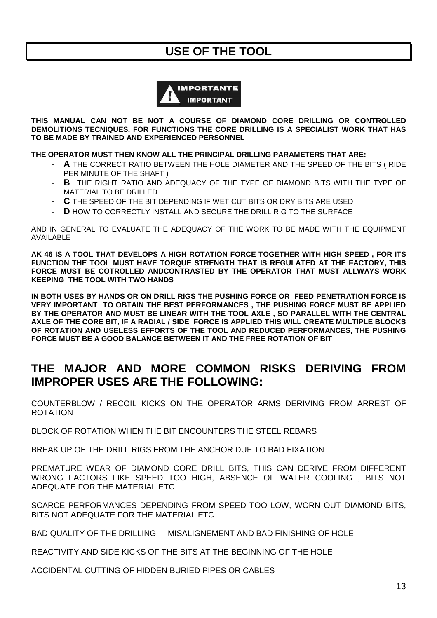### **USE OF THE TOOL**



**THIS MANUAL CAN NOT BE NOT A COURSE OF DIAMOND CORE DRILLING OR CONTROLLED DEMOLITIONS TECNIQUES, FOR FUNCTIONS THE CORE DRILLING IS A SPECIALIST WORK THAT HAS TO BE MADE BY TRAINED AND EXPERIENCED PERSONNEL** 

**THE OPERATOR MUST THEN KNOW ALL THE PRINCIPAL DRILLING PARAMETERS THAT ARE:** 

- A THE CORRECT RATIO BETWEEN THE HOLE DIAMETER AND THE SPEED OF THE BITS (RIDE PER MINUTE OF THE SHAFT )
- **B** THE RIGHT RATIO AND ADEQUACY OF THE TYPE OF DIAMOND BITS WITH THE TYPE OF MATERIAL TO BE DRILLED
- **C** THE SPEED OF THE BIT DEPENDING IF WET CUT BITS OR DRY BITS ARE USED
- D HOW TO CORRECTLY INSTALL AND SECURE THE DRILL RIG TO THE SURFACE

AND IN GENERAL TO EVALUATE THE ADEQUACY OF THE WORK TO BE MADE WITH THE EQUIPMENT AVAILABLE

**AK 46 IS A TOOL THAT DEVELOPS A HIGH ROTATION FORCE TOGETHER WITH HIGH SPEED , FOR ITS FUNCTION THE TOOL MUST HAVE TORQUE STRENGTH THAT IS REGULATED AT THE FACTORY, THIS FORCE MUST BE COTROLLED ANDCONTRASTED BY THE OPERATOR THAT MUST ALLWAYS WORK KEEPING THE TOOL WITH TWO HANDS** 

**IN BOTH USES BY HANDS OR ON DRILL RIGS THE PUSHING FORCE OR FEED PENETRATION FORCE IS VERY IMPORTANT TO OBTAIN THE BEST PERFORMANCES , THE PUSHING FORCE MUST BE APPLIED BY THE OPERATOR AND MUST BE LINEAR WITH THE TOOL AXLE , SO PARALLEL WITH THE CENTRAL AXLE OF THE CORE BIT, IF A RADIAL / SIDE FORCE IS APPLIED THIS WILL CREATE MULTIPLE BLOCKS OF ROTATION AND USELESS EFFORTS OF THE TOOL AND REDUCED PERFORMANCES, THE PUSHING FORCE MUST BE A GOOD BALANCE BETWEEN IT AND THE FREE ROTATION OF BIT** 

### **THE MAJOR AND MORE COMMON RISKS DERIVING FROM IMPROPER USES ARE THE FOLLOWING:**

COUNTERBLOW / RECOIL KICKS ON THE OPERATOR ARMS DERIVING FROM ARREST OF ROTATION

BLOCK OF ROTATION WHEN THE BIT ENCOUNTERS THE STEEL REBARS

BREAK UP OF THE DRILL RIGS FROM THE ANCHOR DUE TO BAD FIXATION

PREMATURE WEAR OF DIAMOND CORE DRILL BITS, THIS CAN DERIVE FROM DIFFERENT WRONG FACTORS LIKE SPEED TOO HIGH, ABSENCE OF WATER COOLING , BITS NOT ADEQUATE FOR THE MATERIAL ETC

SCARCE PERFORMANCES DEPENDING FROM SPEED TOO LOW, WORN OUT DIAMOND BITS, BITS NOT ADEQUATE FOR THE MATERIAL ETC

BAD QUALITY OF THE DRILLING - MISALIGNEMENT AND BAD FINISHING OF HOLE

REACTIVITY AND SIDE KICKS OF THE BITS AT THE BEGINNING OF THE HOLE

ACCIDENTAL CUTTING OF HIDDEN BURIED PIPES OR CABLES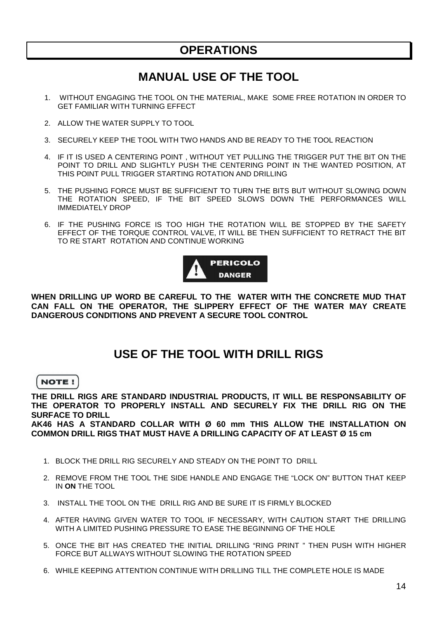### **OPERATIONS**

### **MANUAL USE OF THE TOOL**

- 1. WITHOUT ENGAGING THE TOOL ON THE MATERIAL, MAKE SOME FREE ROTATION IN ORDER TO GET FAMILIAR WITH TURNING EFFECT
- 2. ALLOW THE WATER SUPPLY TO TOOL
- 3. SECURELY KEEP THE TOOL WITH TWO HANDS AND BE READY TO THE TOOL REACTION
- 4. IF IT IS USED A CENTERING POINT , WITHOUT YET PULLING THE TRIGGER PUT THE BIT ON THE POINT TO DRILL AND SLIGHTLY PUSH THE CENTERING POINT IN THE WANTED POSITION, AT THIS POINT PULL TRIGGER STARTING ROTATION AND DRILLING
- 5. THE PUSHING FORCE MUST BE SUFFICIENT TO TURN THE BITS BUT WITHOUT SLOWING DOWN THE ROTATION SPEED, IF THE BIT SPEED SLOWS DOWN THE PERFORMANCES WILL IMMEDIATELY DROP
- 6. IF THE PUSHING FORCE IS TOO HIGH THE ROTATION WILL BE STOPPED BY THE SAFETY EFFECT OF THE TORQUE CONTROL VALVE, IT WILL BE THEN SUFFICIENT TO RETRACT THE BIT TO RE START ROTATION AND CONTINUE WORKING



**WHEN DRILLING UP WORD BE CAREFUL TO THE WATER WITH THE CONCRETE MUD THAT CAN FALL ON THE OPERATOR, THE SLIPPERY EFFECT OF THE WATER MAY CREATE DANGEROUS CONDITIONS AND PREVENT A SECURE TOOL CONTROL**

### **USE OF THE TOOL WITH DRILL RIGS**

#### **NOTE!**

**THE DRILL RIGS ARE STANDARD INDUSTRIAL PRODUCTS, IT WILL BE RESPONSABILITY OF THE OPERATOR TO PROPERLY INSTALL AND SECURELY FIX THE DRILL RIG ON THE SURFACE TO DRILL** 

**AK46 HAS A STANDARD COLLAR WITH Ø 60 mm THIS ALLOW THE INSTALLATION ON COMMON DRILL RIGS THAT MUST HAVE A DRILLING CAPACITY OF AT LEAST Ø 15 cm** 

- 1. BLOCK THE DRILL RIG SECURELY AND STEADY ON THE POINT TO DRILL
- 2. REMOVE FROM THE TOOL THE SIDE HANDLE AND ENGAGE THE "LOCK ON" BUTTON THAT KEEP IN **ON** THE TOOL
- 3. INSTALL THE TOOL ON THE DRILL RIG AND BE SURE IT IS FIRMLY BLOCKED
- 4. AFTER HAVING GIVEN WATER TO TOOL IF NECESSARY, WITH CAUTION START THE DRILLING WITH A LIMITED PUSHING PRESSURE TO EASE THE BEGINNING OF THE HOLE
- 5. ONCE THE BIT HAS CREATED THE INITIAL DRILLING "RING PRINT " THEN PUSH WITH HIGHER FORCE BUT ALLWAYS WITHOUT SLOWING THE ROTATION SPEED
- 6. WHILE KEEPING ATTENTION CONTINUE WITH DRILLING TILL THE COMPLETE HOLE IS MADE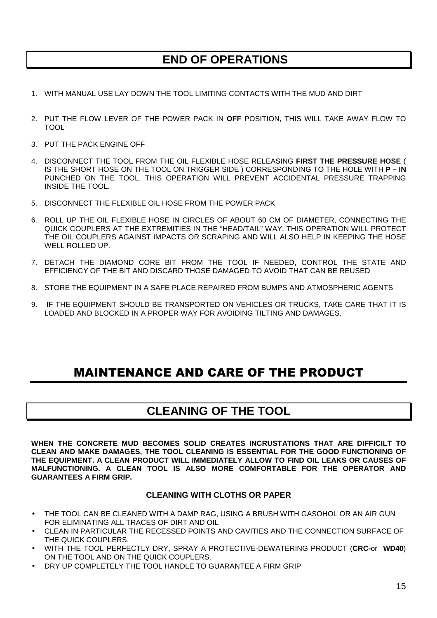### **END OF OPERATIONS**

- 1. WITH MANUAL USE LAY DOWN THE TOOL LIMITING CONTACTS WITH THE MUD AND DIRT
- 2. PUT THE FLOW LEVER OF THE POWER PACK IN **OFF** POSITION, THIS WILL TAKE AWAY FLOW TO TOOL
- 3. PUT THE PACK ENGINE OFF
- 4. DISCONNECT THE TOOL FROM THE OIL FLEXIBLE HOSE RELEASING **FIRST THE PRESSURE HOSE** ( IS THE SHORT HOSE ON THE TOOL ON TRIGGER SIDE ) CORRESPONDING TO THE HOLE WITH **P – IN**  PUNCHED ON THE TOOL. THIS OPERATION WILL PREVENT ACCIDENTAL PRESSURE TRAPPING INSIDE THE TOOL.
- 5. DISCONNECT THE FLEXIBLE OIL HOSE FROM THE POWER PACK
- 6. ROLL UP THE OIL FLEXIBLE HOSE IN CIRCLES OF ABOUT 60 CM OF DIAMETER, CONNECTING THE QUICK COUPLERS AT THE EXTREMITIES IN THE "HEAD/TAIL" WAY. THIS OPERATION WILL PROTECT THE OIL COUPLERS AGAINST IMPACTS OR SCRAPING AND WILL ALSO HELP IN KEEPING THE HOSE WELL ROLLED UP.
- 7. DETACH THE DIAMOND CORE BIT FROM THE TOOL IF NEEDED, CONTROL THE STATE AND EFFICIENCY OF THE BIT AND DISCARD THOSE DAMAGED TO AVOID THAT CAN BE REUSED
- 8. STORE THE EQUIPMENT IN A SAFE PLACE REPAIRED FROM BUMPS AND ATMOSPHERIC AGENTS
- 9. IF THE EQUIPMENT SHOULD BE TRANSPORTED ON VEHICLES OR TRUCKS, TAKE CARE THAT IT IS LOADED AND BLOCKED IN A PROPER WAY FOR AVOIDING TILTING AND DAMAGES.

### MAINTENANCE AND CARE OF THE PRODUCT

### **CLEANING OF THE TOOL**

**WHEN THE CONCRETE MUD BECOMES SOLID CREATES INCRUSTATIONS THAT ARE DIFFICILT TO CLEAN AND MAKE DAMAGES, THE TOOL CLEANING IS ESSENTIAL FOR THE GOOD FUNCTIONING OF THE EQUIPMENT. A CLEAN PRODUCT WILL IMMEDIATELY ALLOW TO FIND OIL LEAKS OR CAUSES OF MALFUNCTIONING. A CLEAN TOOL IS ALSO MORE COMFORTABLE FOR THE OPERATOR AND GUARANTEES A FIRM GRIP.** 

#### **CLEANING WITH CLOTHS OR PAPER**

- THE TOOL CAN BE CLEANED WITH A DAMP RAG, USING A BRUSH WITH GASOHOL OR AN AIR GUN FOR ELIMINATING ALL TRACES OF DIRT AND OIL
- CLEAN IN PARTICULAR THE RECESSED POINTS AND CAVITIES AND THE CONNECTION SURFACE OF THE QUICK COUPLERS.
- WITH THE TOOL PERFECTLY DRY, SPRAY A PROTECTIVE-DEWATERING PRODUCT (**CRC-**or **WD40**) ON THE TOOL AND ON THE QUICK COUPLERS.
- DRY UP COMPLETELY THE TOOL HANDLE TO GUARANTEE A FIRM GRIP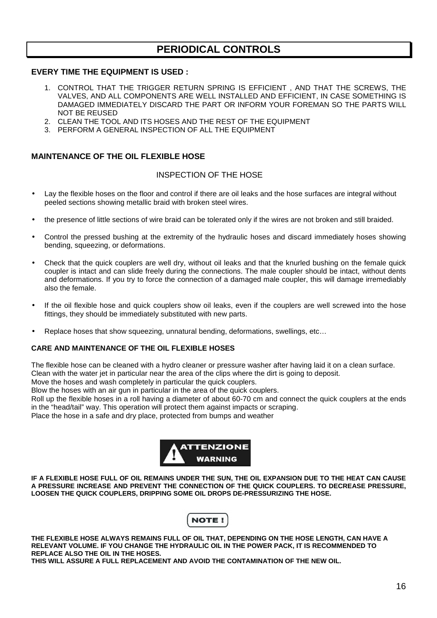### **PERIODICAL CONTROLS**

#### **EVERY TIME THE EQUIPMENT IS USED :**

- 1. CONTROL THAT THE TRIGGER RETURN SPRING IS EFFICIENT , AND THAT THE SCREWS, THE VALVES, AND ALL COMPONENTS ARE WELL INSTALLED AND EFFICIENT, IN CASE SOMETHING IS DAMAGED IMMEDIATELY DISCARD THE PART OR INFORM YOUR FOREMAN SO THE PARTS WILL NOT BE REUSED
- 2. CLEAN THE TOOL AND ITS HOSES AND THE REST OF THE EQUIPMENT
- 3. PERFORM A GENERAL INSPECTION OF ALL THE EQUIPMENT

#### **MAINTENANCE OF THE OIL FLEXIBLE HOSE**

#### INSPECTION OF THE HOSE

- Lay the flexible hoses on the floor and control if there are oil leaks and the hose surfaces are integral without peeled sections showing metallic braid with broken steel wires.
- the presence of little sections of wire braid can be tolerated only if the wires are not broken and still braided.
- Control the pressed bushing at the extremity of the hydraulic hoses and discard immediately hoses showing bending, squeezing, or deformations.
- Check that the quick couplers are well dry, without oil leaks and that the knurled bushing on the female quick coupler is intact and can slide freely during the connections. The male coupler should be intact, without dents and deformations. If you try to force the connection of a damaged male coupler, this will damage irremediably also the female.
- If the oil flexible hose and quick couplers show oil leaks, even if the couplers are well screwed into the hose fittings, they should be immediately substituted with new parts.
- Replace hoses that show squeezing, unnatural bending, deformations, swellings, etc…

#### **CARE AND MAINTENANCE OF THE OIL FLEXIBLE HOSES**

The flexible hose can be cleaned with a hydro cleaner or pressure washer after having laid it on a clean surface. Clean with the water jet in particular near the area of the clips where the dirt is going to deposit.

Move the hoses and wash completely in particular the quick couplers.

Blow the hoses with an air gun in particular in the area of the quick couplers.

Roll up the flexible hoses in a roll having a diameter of about 60-70 cm and connect the quick couplers at the ends in the "head/tail" way. This operation will protect them against impacts or scraping.

Place the hose in a safe and dry place, protected from bumps and weather



**IF A FLEXIBLE HOSE FULL OF OIL REMAINS UNDER THE SUN, THE OIL EXPANSION DUE TO THE HEAT CAN CAUSE A PRESSURE INCREASE AND PREVENT THE CONNECTION OF THE QUICK COUPLERS. TO DECREASE PRESSURE, LOOSEN THE QUICK COUPLERS, DRIPPING SOME OIL DROPS DE-PRESSURIZING THE HOSE.** 



**THE FLEXIBLE HOSE ALWAYS REMAINS FULL OF OIL THAT, DEPENDING ON THE HOSE LENGTH, CAN HAVE A RELEVANT VOLUME. IF YOU CHANGE THE HYDRAULIC OIL IN THE POWER PACK, IT IS RECOMMENDED TO REPLACE ALSO THE OIL IN THE HOSES.** 

**THIS WILL ASSURE A FULL REPLACEMENT AND AVOID THE CONTAMINATION OF THE NEW OIL.**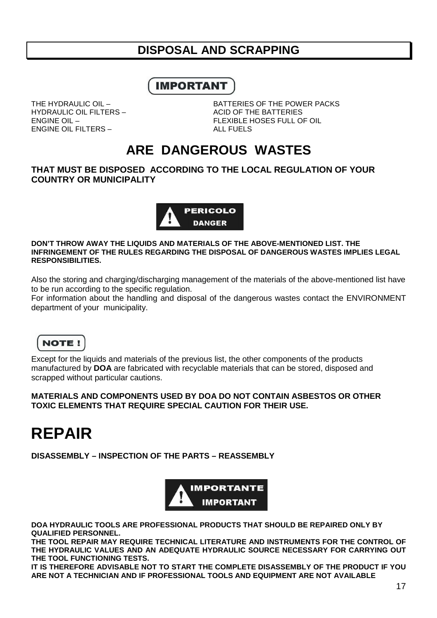### **DISPOSAL AND SCRAPPING**

### **IMPORTANT**

HYDRAULIC OIL FILTERS – ACID OF THE BATTERIES ENGINE OIL FILTERS – ALL FUELS

THE HYDRAULIC OIL – THE HYDRAULIC OIL – BATTERIES OF THE POWER PACKS ENGINE OIL – FLEXIBLE HOSES FULL OF OIL

## **ARE DANGEROUS WASTES**

#### **THAT MUST BE DISPOSED ACCORDING TO THE LOCAL REGULATION OF YOUR COUNTRY OR MUNICIPALITY**



#### **DON'T THROW AWAY THE LIQUIDS AND MATERIALS OF THE ABOVE-MENTIONED LIST. THE INFRINGEMENT OF THE RULES REGARDING THE DISPOSAL OF DANGEROUS WASTES IMPLIES LEGAL RESPONSIBILITIES.**

Also the storing and charging/discharging management of the materials of the above-mentioned list have to be run according to the specific regulation.

For information about the handling and disposal of the dangerous wastes contact the ENVIRONMENT department of your municipality.



Except for the liquids and materials of the previous list, the other components of the products manufactured by **DOA** are fabricated with recyclable materials that can be stored, disposed and scrapped without particular cautions.

#### **MATERIALS AND COMPONENTS USED BY DOA DO NOT CONTAIN ASBESTOS OR OTHER TOXIC ELEMENTS THAT REQUIRE SPECIAL CAUTION FOR THEIR USE.**

# **REPAIR**

**DISASSEMBLY – INSPECTION OF THE PARTS – REASSEMBLY** 



**DOA HYDRAULIC TOOLS ARE PROFESSIONAL PRODUCTS THAT SHOULD BE REPAIRED ONLY BY QUALIFIED PERSONNEL.** 

**THE TOOL REPAIR MAY REQUIRE TECHNICAL LITERATURE AND INSTRUMENTS FOR THE CONTROL OF THE HYDRAULIC VALUES AND AN ADEQUATE HYDRAULIC SOURCE NECESSARY FOR CARRYING OUT THE TOOL FUNCTIONING TESTS.** 

**IT IS THEREFORE ADVISABLE NOT TO START THE COMPLETE DISASSEMBLY OF THE PRODUCT IF YOU ARE NOT A TECHNICIAN AND IF PROFESSIONAL TOOLS AND EQUIPMENT ARE NOT AVAILABLE**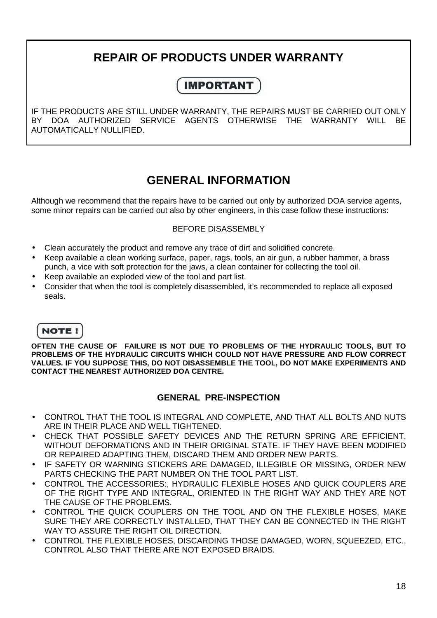# **REPAIR OF PRODUCTS UNDER WARRANTY**

### **IMPORTANT**

IF THE PRODUCTS ARE STILL UNDER WARRANTY, THE REPAIRS MUST BE CARRIED OUT ONLY BY DOA AUTHORIZED SERVICE AGENTS OTHERWISE THE WARRANTY WILL BE AUTOMATICALLY NULLIFIED.

### **GENERAL INFORMATION**

Although we recommend that the repairs have to be carried out only by authorized DOA service agents, some minor repairs can be carried out also by other engineers, in this case follow these instructions:

#### BEFORE DISASSEMBLY

- Clean accurately the product and remove any trace of dirt and solidified concrete.
- Keep available a clean working surface, paper, rags, tools, an air gun, a rubber hammer, a brass punch, a vice with soft protection for the jaws, a clean container for collecting the tool oil.
- Keep available an exploded view of the tool and part list.
- Consider that when the tool is completely disassembled, it's recommended to replace all exposed seals.

### **NOTE!**

**OFTEN THE CAUSE OF FAILURE IS NOT DUE TO PROBLEMS OF THE HYDRAULIC TOOLS, BUT TO PROBLEMS OF THE HYDRAULIC CIRCUITS WHICH COULD NOT HAVE PRESSURE AND FLOW CORRECT VALUES. IF YOU SUPPOSE THIS, DO NOT DISASSEMBLE THE TOOL, DO NOT MAKE EXPERIMENTS AND CONTACT THE NEAREST AUTHORIZED DOA CENTRE.** 

#### **GENERAL PRE-INSPECTION**

- CONTROL THAT THE TOOL IS INTEGRAL AND COMPLETE, AND THAT ALL BOLTS AND NUTS ARE IN THEIR PLACE AND WELL TIGHTENED.
- CHECK THAT POSSIBLE SAFETY DEVICES AND THE RETURN SPRING ARE EFFICIENT, WITHOUT DEFORMATIONS AND IN THEIR ORIGINAL STATE. IF THEY HAVE BEEN MODIFIED OR REPAIRED ADAPTING THEM, DISCARD THEM AND ORDER NEW PARTS.
- IF SAFETY OR WARNING STICKERS ARE DAMAGED, ILLEGIBLE OR MISSING, ORDER NEW PARTS CHECKING THE PART NUMBER ON THE TOOL PART LIST.
- CONTROL THE ACCESSORIES:, HYDRAULIC FLEXIBLE HOSES AND QUICK COUPLERS ARE OF THE RIGHT TYPE AND INTEGRAL, ORIENTED IN THE RIGHT WAY AND THEY ARE NOT THE CAUSE OF THE PROBLEMS.
- CONTROL THE QUICK COUPLERS ON THE TOOL AND ON THE FLEXIBLE HOSES, MAKE SURE THEY ARE CORRECTLY INSTALLED, THAT THEY CAN BE CONNECTED IN THE RIGHT WAY TO ASSURE THE RIGHT OIL DIRECTION.
- CONTROL THE FLEXIBLE HOSES, DISCARDING THOSE DAMAGED, WORN, SQUEEZED, ETC., CONTROL ALSO THAT THERE ARE NOT EXPOSED BRAIDS.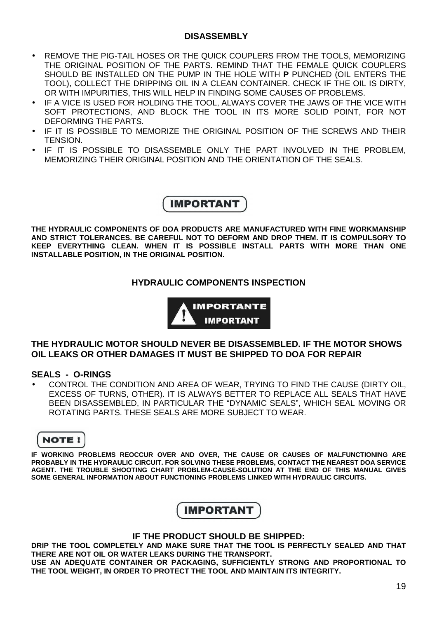#### **DISASSEMBLY**

- REMOVE THE PIG-TAIL HOSES OR THE QUICK COUPLERS FROM THE TOOLS, MEMORIZING THE ORIGINAL POSITION OF THE PARTS. REMIND THAT THE FEMALE QUICK COUPLERS SHOULD BE INSTALLED ON THE PUMP IN THE HOLE WITH **P** PUNCHED (OIL ENTERS THE TOOL), COLLECT THE DRIPPING OIL IN A CLEAN CONTAINER. CHECK IF THE OIL IS DIRTY, OR WITH IMPURITIES, THIS WILL HELP IN FINDING SOME CAUSES OF PROBLEMS.
- IF A VICE IS USED FOR HOLDING THE TOOL, ALWAYS COVER THE JAWS OF THE VICE WITH SOFT PROTECTIONS, AND BLOCK THE TOOL IN ITS MORE SOLID POINT, FOR NOT DEFORMING THE PARTS.
- IF IT IS POSSIBLE TO MEMORIZE THE ORIGINAL POSITION OF THE SCREWS AND THEIR TENSION.
- IF IT IS POSSIBLE TO DISASSEMBLE ONLY THE PART INVOLVED IN THE PROBLEM, MEMORIZING THEIR ORIGINAL POSITION AND THE ORIENTATION OF THE SEALS.



**THE HYDRAULIC COMPONENTS OF DOA PRODUCTS ARE MANUFACTURED WITH FINE WORKMANSHIP AND STRICT TOLERANCES. BE CAREFUL NOT TO DEFORM AND DROP THEM. IT IS COMPULSORY TO KEEP EVERYTHING CLEAN. WHEN IT IS POSSIBLE INSTALL PARTS WITH MORE THAN ONE INSTALLABLE POSITION, IN THE ORIGINAL POSITION.** 

#### **HYDRAULIC COMPONENTS INSPECTION**



#### **THE HYDRAULIC MOTOR SHOULD NEVER BE DISASSEMBLED. IF THE MOTOR SHOWS OIL LEAKS OR OTHER DAMAGES IT MUST BE SHIPPED TO DOA FOR REPAIR**

#### **SEALS - O-RINGS**

• CONTROL THE CONDITION AND AREA OF WEAR, TRYING TO FIND THE CAUSE (DIRTY OIL, EXCESS OF TURNS, OTHER). IT IS ALWAYS BETTER TO REPLACE ALL SEALS THAT HAVE BEEN DISASSEMBLED, IN PARTICULAR THE "DYNAMIC SEALS", WHICH SEAL MOVING OR ROTATING PARTS. THESE SEALS ARE MORE SUBJECT TO WEAR.

**NOTE!** 

**IF WORKING PROBLEMS REOCCUR OVER AND OVER, THE CAUSE OR CAUSES OF MALFUNCTIONING ARE PROBABLY IN THE HYDRAULIC CIRCUIT. FOR SOLVING THESE PROBLEMS, CONTACT THE NEAREST DOA SERVICE AGENT. THE TROUBLE SHOOTING CHART PROBLEM-CAUSE-SOLUTION AT THE END OF THIS MANUAL GIVES SOME GENERAL INFORMATION ABOUT FUNCTIONING PROBLEMS LINKED WITH HYDRAULIC CIRCUITS.** 

### **IMPORTANT**

#### **IF THE PRODUCT SHOULD BE SHIPPED:**

**DRIP THE TOOL COMPLETELY AND MAKE SURE THAT THE TOOL IS PERFECTLY SEALED AND THAT THERE ARE NOT OIL OR WATER LEAKS DURING THE TRANSPORT.** 

**USE AN ADEQUATE CONTAINER OR PACKAGING, SUFFICIENTLY STRONG AND PROPORTIONAL TO THE TOOL WEIGHT, IN ORDER TO PROTECT THE TOOL AND MAINTAIN ITS INTEGRITY.**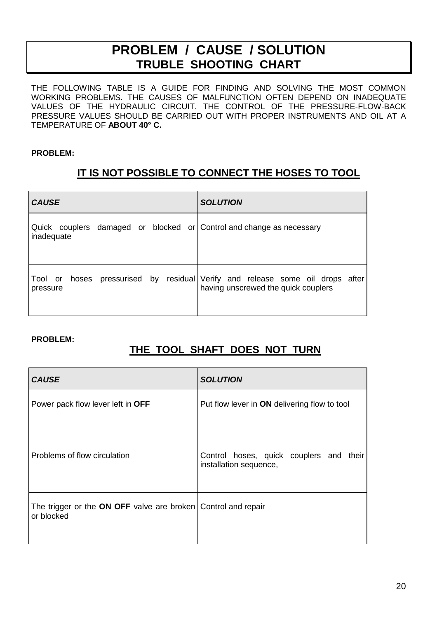# **PROBLEM / CAUSE / SOLUTION TRUBLE SHOOTING CHART**

THE FOLLOWING TABLE IS A GUIDE FOR FINDING AND SOLVING THE MOST COMMON WORKING PROBLEMS. THE CAUSES OF MALFUNCTION OFTEN DEPEND ON INADEQUATE VALUES OF THE HYDRAULIC CIRCUIT. THE CONTROL OF THE PRESSURE-FLOW-BACK PRESSURE VALUES SHOULD BE CARRIED OUT WITH PROPER INSTRUMENTS AND OIL AT A TEMPERATURE OF **ABOUT 40° C.**

#### **PROBLEM:**

### **IT IS NOT POSSIBLE TO CONNECT THE HOSES TO TOOL**

| <b>CAUSE</b>                                                                       | <b>SOLUTION</b>                                                                                                      |
|------------------------------------------------------------------------------------|----------------------------------------------------------------------------------------------------------------------|
| Quick couplers damaged or blocked or Control and change as necessary<br>inadequate |                                                                                                                      |
| pressure                                                                           | Tool or hoses pressurised by residual Verify and release some oil drops after<br>having unscrewed the quick couplers |

#### **PROBLEM:**

### **THE TOOL SHAFT DOES NOT TURN**

| <b>CAUSE</b>                                                                | <b>SOLUTION</b>                                                   |
|-----------------------------------------------------------------------------|-------------------------------------------------------------------|
| Power pack flow lever left in OFF                                           | Put flow lever in <b>ON</b> delivering flow to tool               |
| Problems of flow circulation                                                | Control hoses, quick couplers and their<br>installation sequence, |
| The trigger or the ON OFF valve are broken Control and repair<br>or blocked |                                                                   |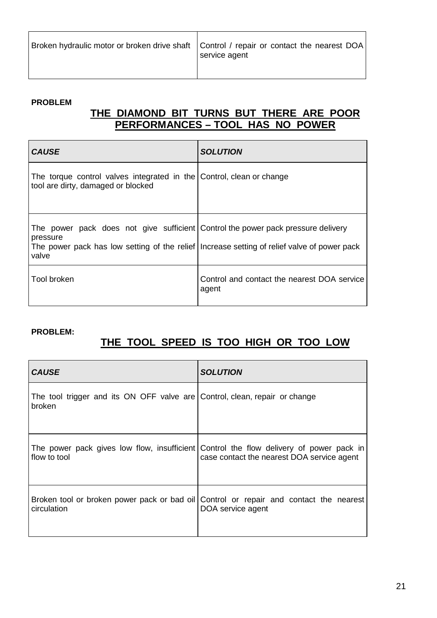| Broken hydraulic motor or broken drive shaft   Control / repair or contact the nearest DOA<br>service agent |
|-------------------------------------------------------------------------------------------------------------|
|-------------------------------------------------------------------------------------------------------------|

#### **PROBLEM**

### **THE DIAMOND BIT TURNS BUT THERE ARE POOR PERFORMANCES – TOOL HAS NO POWER**

| <b>CAUSE</b>                                                                                                                                                                                         | <b>SOLUTION</b>                                      |
|------------------------------------------------------------------------------------------------------------------------------------------------------------------------------------------------------|------------------------------------------------------|
| The torque control valves integrated in the Control, clean or change<br>tool are dirty, damaged or blocked                                                                                           |                                                      |
| The power pack does not give sufficient Control the power pack pressure delivery<br>pressure<br>The power pack has low setting of the relief Increase setting of relief valve of power pack<br>valve |                                                      |
| <b>Tool broken</b>                                                                                                                                                                                   | Control and contact the nearest DOA service<br>agent |

#### **PROBLEM:**

### **THE TOOL SPEED IS TOO HIGH OR TOO LOW**

| <b>CAUSE</b>                                                                         | <b>SOLUTION</b>                                                                                                                      |
|--------------------------------------------------------------------------------------|--------------------------------------------------------------------------------------------------------------------------------------|
| The tool trigger and its ON OFF valve are Control, clean, repair or change<br>broken |                                                                                                                                      |
| flow to tool                                                                         | The power pack gives low flow, insufficient Control the flow delivery of power pack in<br>case contact the nearest DOA service agent |
| circulation                                                                          | Broken tool or broken power pack or bad oil Control or repair and contact the nearest<br>DOA service agent                           |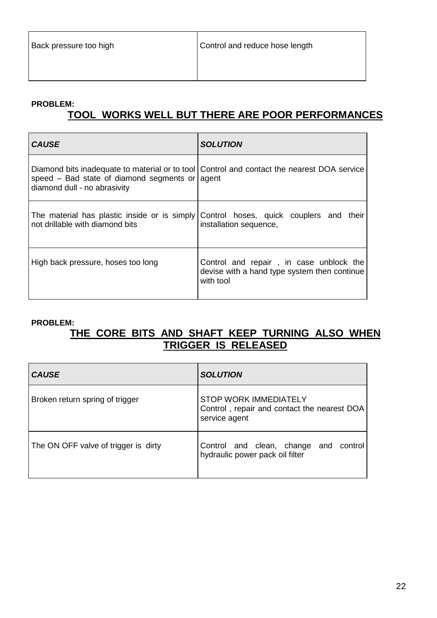#### **PROBLEM:**

### **TOOL WORKS WELL BUT THERE ARE POOR PERFORMANCES**

| <b>CAUSE</b>                                                                   | <b>SOLUTION</b>                                                                                                |
|--------------------------------------------------------------------------------|----------------------------------------------------------------------------------------------------------------|
| speed - Bad state of diamond segments or agent<br>diamond dull - no abrasivity | Diamond bits inadequate to material or to tool Control and contact the nearest DOA service                     |
| not drillable with diamond bits                                                | The material has plastic inside or is simply Control hoses, quick couplers and their<br>installation sequence, |
| High back pressure, hoses too long                                             | Control and repair, in case unblock the<br>devise with a hand type system then continue<br>with tool           |

#### **PROBLEM:**

### **THE CORE BITS AND SHAFT KEEP TURNING ALSO WHEN TRIGGER IS RELEASED**

| <b>CAUSE</b>                         | <b>SOLUTION</b>                                                                              |
|--------------------------------------|----------------------------------------------------------------------------------------------|
| Broken return spring of trigger      | <b>STOP WORK IMMEDIATELY</b><br>Control, repair and contact the nearest DOA<br>service agent |
| The ON OFF valve of trigger is dirty | Control and clean, change and control<br>hydraulic power pack oil filter                     |